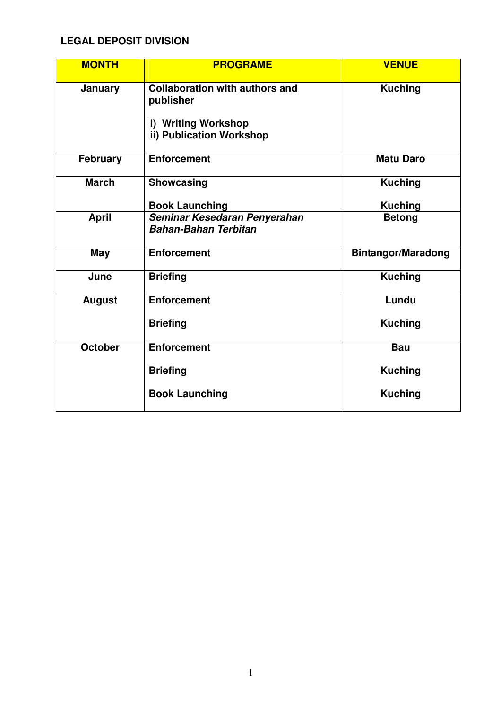## **LEGAL DEPOSIT DIVISION**

| <b>MONTH</b>    | <b>PROGRAME</b>                                                                                       | <b>VENUE</b>                     |
|-----------------|-------------------------------------------------------------------------------------------------------|----------------------------------|
| January         | <b>Collaboration with authors and</b><br>publisher<br>i) Writing Workshop<br>ii) Publication Workshop | <b>Kuching</b>                   |
| <b>February</b> | <b>Enforcement</b>                                                                                    | <b>Matu Daro</b>                 |
| <b>March</b>    | <b>Showcasing</b><br><b>Book Launching</b>                                                            | <b>Kuching</b><br><b>Kuching</b> |
| <b>April</b>    | Seminar Kesedaran Penyerahan<br><b>Bahan-Bahan Terbitan</b>                                           | <b>Betong</b>                    |
| <b>May</b>      | <b>Enforcement</b>                                                                                    | <b>Bintangor/Maradong</b>        |
| June            | <b>Briefing</b>                                                                                       | <b>Kuching</b>                   |
| <b>August</b>   | <b>Enforcement</b>                                                                                    | Lundu                            |
|                 | <b>Briefing</b>                                                                                       | <b>Kuching</b>                   |
| <b>October</b>  | <b>Enforcement</b>                                                                                    | <b>Bau</b>                       |
|                 | <b>Briefing</b>                                                                                       | <b>Kuching</b>                   |
|                 | <b>Book Launching</b>                                                                                 | <b>Kuching</b>                   |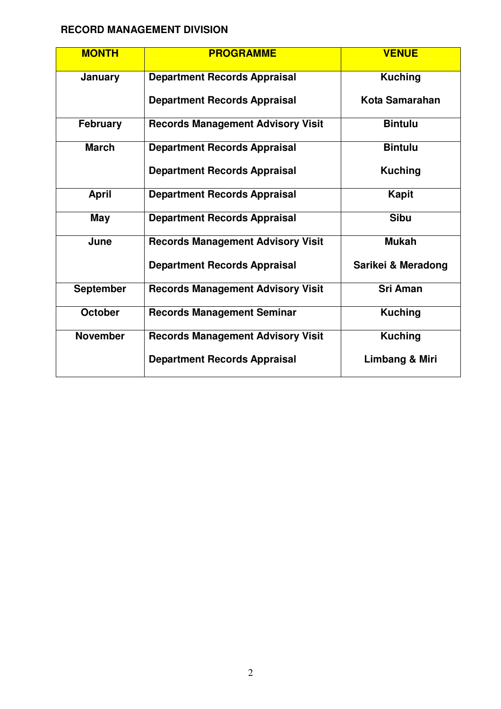## **RECORD MANAGEMENT DIVISION**

| <b>MONTH</b>     | <b>PROGRAMME</b>                         | <b>VENUE</b>       |
|------------------|------------------------------------------|--------------------|
| January          | <b>Department Records Appraisal</b>      | <b>Kuching</b>     |
|                  | <b>Department Records Appraisal</b>      | Kota Samarahan     |
| <b>February</b>  | <b>Records Management Advisory Visit</b> | <b>Bintulu</b>     |
| <b>March</b>     | <b>Department Records Appraisal</b>      | <b>Bintulu</b>     |
|                  | <b>Department Records Appraisal</b>      | <b>Kuching</b>     |
| <b>April</b>     | <b>Department Records Appraisal</b>      | <b>Kapit</b>       |
| May              | <b>Department Records Appraisal</b>      | <b>Sibu</b>        |
| June             | <b>Records Management Advisory Visit</b> | <b>Mukah</b>       |
|                  | <b>Department Records Appraisal</b>      | Sarikei & Meradong |
| <b>September</b> | <b>Records Management Advisory Visit</b> | <b>Sri Aman</b>    |
| <b>October</b>   | <b>Records Management Seminar</b>        | <b>Kuching</b>     |
| <b>November</b>  | <b>Records Management Advisory Visit</b> | <b>Kuching</b>     |
|                  | <b>Department Records Appraisal</b>      | Limbang & Miri     |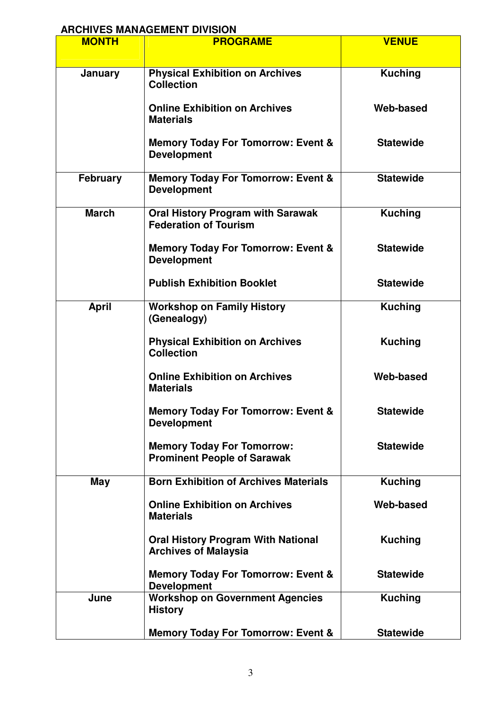## **ARCHIVES MANAGEMENT DIVISION**

| <b>MONTH</b>    | <b>PROGRAME</b>                                                          | <b>VENUE</b>     |
|-----------------|--------------------------------------------------------------------------|------------------|
| January         | <b>Physical Exhibition on Archives</b><br><b>Collection</b>              | <b>Kuching</b>   |
|                 | <b>Online Exhibition on Archives</b><br><b>Materials</b>                 | Web-based        |
|                 | <b>Memory Today For Tomorrow: Event &amp;</b><br><b>Development</b>      | <b>Statewide</b> |
| <b>February</b> | <b>Memory Today For Tomorrow: Event &amp;</b><br><b>Development</b>      | <b>Statewide</b> |
| <b>March</b>    | <b>Oral History Program with Sarawak</b><br><b>Federation of Tourism</b> | <b>Kuching</b>   |
|                 | <b>Memory Today For Tomorrow: Event &amp;</b><br><b>Development</b>      | <b>Statewide</b> |
|                 | <b>Publish Exhibition Booklet</b>                                        | <b>Statewide</b> |
| <b>April</b>    | <b>Workshop on Family History</b><br>(Genealogy)                         | <b>Kuching</b>   |
|                 | <b>Physical Exhibition on Archives</b><br><b>Collection</b>              | <b>Kuching</b>   |
|                 | <b>Online Exhibition on Archives</b><br><b>Materials</b>                 | Web-based        |
|                 | <b>Memory Today For Tomorrow: Event &amp;</b><br><b>Development</b>      | <b>Statewide</b> |
|                 | <b>Memory Today For Tomorrow:</b><br><b>Prominent People of Sarawak</b>  | <b>Statewide</b> |
| <b>May</b>      | <b>Born Exhibition of Archives Materials</b>                             | <b>Kuching</b>   |
|                 | <b>Online Exhibition on Archives</b><br><b>Materials</b>                 | Web-based        |
|                 | <b>Oral History Program With National</b><br><b>Archives of Malaysia</b> | <b>Kuching</b>   |
|                 | <b>Memory Today For Tomorrow: Event &amp;</b><br><b>Development</b>      | <b>Statewide</b> |
| June            | <b>Workshop on Government Agencies</b><br><b>History</b>                 | <b>Kuching</b>   |
|                 | <b>Memory Today For Tomorrow: Event &amp;</b>                            | <b>Statewide</b> |